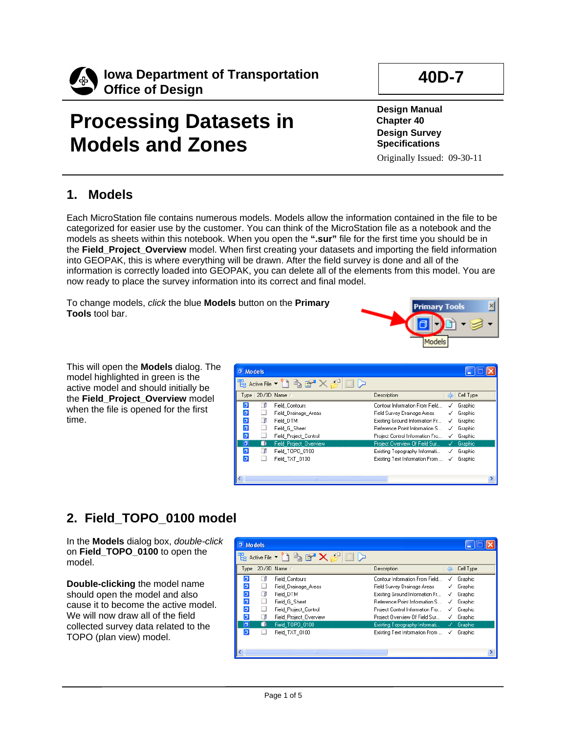

# **Processing Datasets in Models and Zones**

# **40D-7**

**Design Manual Chapter 40 Design Survey Specifications** Originally Issued: 09-30-11

### **1. Models**

Each MicroStation file contains numerous models. Models allow the information contained in the file to be categorized for easier use by the customer. You can think of the MicroStation file as a notebook and the models as sheets within this notebook. When you open the **".sur"** file for the first time you should be in the **Field\_Project\_Overview** model. When first creating your datasets and importing the field information into GEOPAK, this is where everything will be drawn. After the field survey is done and all of the information is correctly loaded into GEOPAK, you can delete all of the elements from this model. You are now ready to place the survey information into its correct and final model.

To change models, *click* the blue **Models** button on the **Primary Tools** tool bar.



This will open the **Models** dialog. The model highlighted in green is the active model and should initially be the **Field\_Project\_Overview** model when the file is opened for the first time.

| O Models                |                                           |                                 |   |           |
|-------------------------|-------------------------------------------|---------------------------------|---|-----------|
|                         | Active File ~ 4 白 昏 × 6<br>$\boxed{\Box}$ |                                 |   |           |
|                         | Type 2D/3D Name /                         | Description                     |   | Cell Type |
| σ                       | <b>Field Contours</b>                     | Contour Information From Field  | √ | Graphic   |
| O                       | Field Drainage Areas                      | Field Survey Drainage Areas     |   | Graphic   |
| O                       | Field DTM                                 | Existing Ground Information Fr  | √ | Graphic   |
| $\overline{\mathbf{a}}$ | Field G Sheet                             | Reference Point Information S   | √ | Graphic   |
| $\overline{\sigma}$     | Field Project Control                     | Project Control Information Fro | √ | Graphic   |
| lа                      | <b>Field Project Overview</b>             | Project Overview Of Field Sur   | √ | Graphic   |
| σ                       | Field TOPO 0100                           | Existing Topography Informati   | ✓ | Graphic   |
| $\Box$                  | Field TXT 0100                            | Existing Text Information From  | √ | Graphic   |
|                         |                                           |                                 |   |           |
|                         | <b>TITLE</b>                              |                                 |   |           |

## **2. Field\_TOPO\_0100 model**

In the **Models** dialog box, *double-click* on **Field\_TOPO\_0100** to open the model.

**Double-clicking** the model name should open the model and also cause it to become the active model. We will now draw all of the field collected survey data related to the TOPO (plan view) model.

| $\sigma$<br><b>Models</b> |   |                                                                    |                                 |   |                   |
|---------------------------|---|--------------------------------------------------------------------|---------------------------------|---|-------------------|
|                           |   | Active File $\bullet$ $\bullet$ $\bullet$ $\bullet$ $\bullet$<br>E |                                 |   |                   |
|                           |   | Type 2D/3D Name /                                                  | Description                     |   | Cell Type         |
| б                         |   | <b>Field Contours</b>                                              | Contour Information From Field  | √ | Graphic           |
| đ                         |   | Field Drainage Areas                                               | Field Survey Drainage Areas     |   | Graphic           |
| $\Box$                    | ∩ | Field DTM                                                          | Existing Ground Information Fr  | √ | Graphic           |
| $\overline{\mathbf{a}}$   |   | Field G Sheet                                                      | Beference Point Information S   | √ | Graphic           |
| $\overline{\mathbf{a}}$   |   | Field Project Control                                              | Project Control Information Fro | √ | Graphic           |
| ō                         |   | Field Project Overview                                             | Project Overview Of Field Sur   | √ | Graphic           |
| σ                         |   | Field TOPO 0100                                                    | Existing Topography Informati   |   | $\sqrt{}$ Graphic |
| б                         |   | Field TXT 0100                                                     | Existing Text Information From  | √ | Graphic           |
|                           |   |                                                                    |                                 |   |                   |
|                           |   | ШI                                                                 |                                 |   |                   |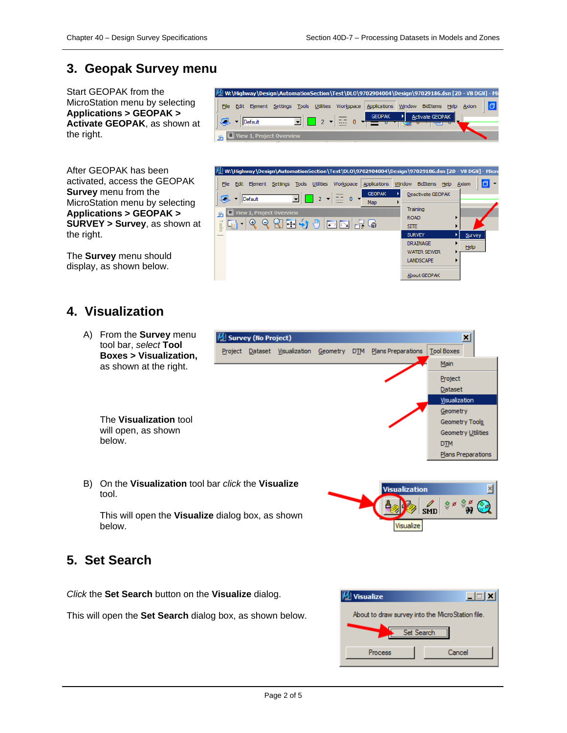Activate GEOPAK

同

#### **3. Geopak Survey menu**

Start GEOPAK from the MicroStation menu by selecting **Applications > GEOPAK > Activate GEOPAK**, as shown at the right.

 $\frac{1}{\sqrt{2}}$  v Default

After GEOPAK has been activated, access the GEOPAK **Survey** menu from the MicroStation menu by selecting **Applications > GEOPAK > SURVEY > Survey**, as shown at the right.

The **Survey** menu should display, as shown below.

### **4. Visualization**

A) From the **Survey** menu tool bar, *select* **Tool Boxes > Visualization,** as shown at the right.

> The **Visualization** tool will open, as shown below.

B) On the **Visualization** tool bar *click* the **Visualize** tool.

This will open the **Visualize** dialog box, as shown below.

### **5. Set Search**

*Click* the **Set Search** button on the **Visualize** dialog.

This will open the **Set Search** dialog box, as shown below.



Visualize



M W:\Highway\Design\AutomationSection\Test\DLO\9702904004\Design\97029186.dsn [2D - V8 DGN] - Mi File Edit Element Settings Tools Utilities Workspace Applications Window BidItems Help Axiom

> 盂  $\sqrt{a}$

 $\overline{\phantom{a}}$  2  $\overline{\phantom{a}}$ 

⋥

**GEOPAK** 

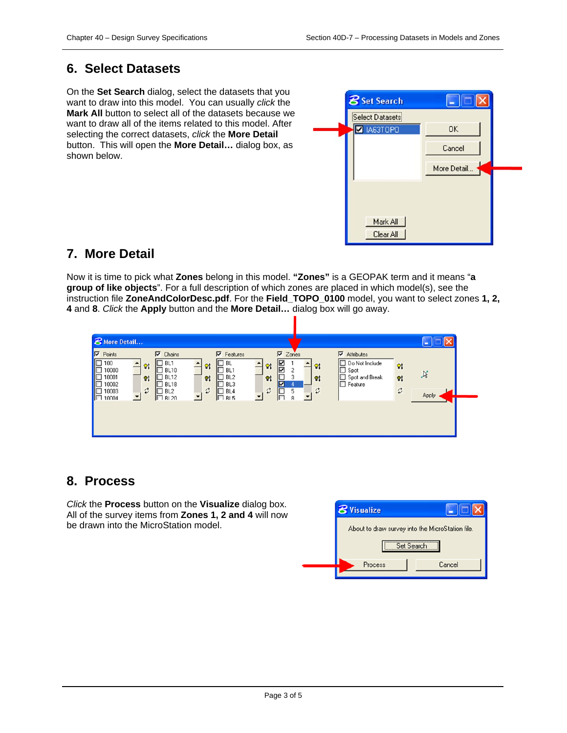#### **6. Select Datasets**

On the **Set Search** dialog, select the datasets that you want to draw into this model. You can usually *click* the **Mark All** button to select all of the datasets because we want to draw all of the items related to this model. After selecting the correct datasets, *click* the **More Detail** button. This will open the **More Detail…** dialog box, as shown below.



#### **7. More Detail**

Now it is time to pick what **Zones** belong in this model. **"Zones"** is a GEOPAK term and it means "**a group of like objects**". For a full description of which zones are placed in which model(s), see the instruction file **ZoneAndColorDesc.pdf**. For the **Field\_TOPO\_0100** model, you want to select zones **1, 2, 4** and **8**. *Click* the **Apply** button and the **More Detail…** dialog box will go away.

| <b>8</b> More Detail                                                                                                                                                                                                                                                 |                                                                                                                                           |                                                                                                                                                                       |                                                                                                                                        |             |
|----------------------------------------------------------------------------------------------------------------------------------------------------------------------------------------------------------------------------------------------------------------------|-------------------------------------------------------------------------------------------------------------------------------------------|-----------------------------------------------------------------------------------------------------------------------------------------------------------------------|----------------------------------------------------------------------------------------------------------------------------------------|-------------|
| <b>V</b> Points<br>$\nabla$ Chains<br><b>THEFE</b><br>100<br>$\square$ BL1<br>Q <sub>t</sub><br>10000<br><b>BL10</b><br>10001<br><b>BL12</b><br>Q <sub>t</sub><br>10002<br>BL18<br>$\vec{v}$<br>10003<br>BL <sub>2</sub><br><b>FOR</b><br>П<br>10004<br><b>BI 20</b> | $\nabla$ Features<br>BL<br>$\mathsf{Q}\mathsf{I}$<br>BL1<br>BL <sub>2</sub><br>$\mathsf{Q}$<br>BL3<br>$\vec{v}$<br>BL4<br>C<br>$\Box$ BL5 | $\nabla$ Zones<br>$\overline{\mathbb{Z}}$<br>Q <sub>1</sub><br>$\mathsf{Q}$<br>2<br>F<br>Q <sub>1</sub><br>$\mathbf{Q}$<br>☑<br>$\vec{v}$<br>$\vec{v}$<br>5<br>Æ<br>g | $\nabla$ Attributes<br>Do Not Include<br>Q <sub>t</sub><br>Spot<br>Spot and Break<br>Q <sub>1</sub><br>Feature<br>$\vec{\mathfrak{c}}$ | Y,<br>Apply |

#### **8. Process**

*Click* the **Process** button on the **Visualize** dialog box. All of the survey items from **Zones 1, 2 and 4** will now be drawn into the MicroStation model.

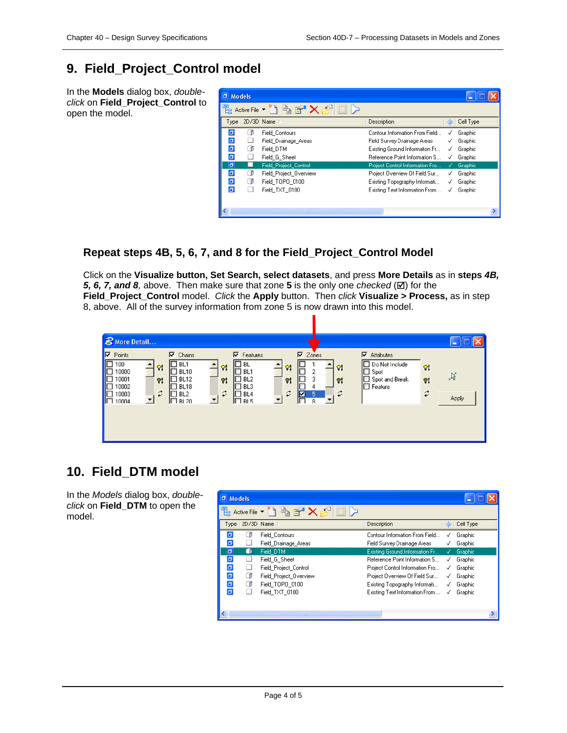### **9. Field\_Project\_Control model**

In the **Models** dialog box, *doubleclick* on **Field\_Project\_Control** to open the model.

| <b>D</b> Models         |   |                                                                    |                                 |   |           |
|-------------------------|---|--------------------------------------------------------------------|---------------------------------|---|-----------|
|                         |   | Active File $\bullet$ $\bullet$ $\bullet$ $\bullet$ $\bullet$<br>E |                                 |   |           |
|                         |   | Type 2D/3D Name /                                                  | Description                     |   | Cell Type |
| σ                       |   | Field Contours                                                     | Contour Information From Field  | √ | Graphic   |
| O                       |   | Field Drainage Areas                                               | Field Survey Drainage Areas     | ✓ | Graphic   |
| O                       | n | Field DTM                                                          | Existing Ground Information Fr  | ✓ | Graphic   |
| $\overline{\mathbf{a}}$ |   | Field G Sheet                                                      | Reference Point Information S   | ✓ | Graphic   |
| $\sigma$                |   | <b>Field Project Control</b>                                       | Project Control Information Fro | √ | Graphic   |
| $\Box$                  | О | Field Project Overview                                             | Project Overview Of Field Sur   | ✓ | Graphic   |
| o                       | σ | Field TOPO 0100                                                    | Existing Topography Informati   | √ | Graphic   |
| $\overline{a}$          |   | Field TXT 0100                                                     | Existing Text Information From  | √ | Graphic   |
|                         |   |                                                                    |                                 |   |           |
|                         |   | <b>TILL</b>                                                        |                                 |   |           |

#### **Repeat steps 4B, 5, 6, 7, and 8 for the Field\_Project\_Control Model**

Click on the **Visualize button, Set Search, select datasets**, and press **More Details** as in **steps** *4B,*  5, 6, 7, and 8, above. Then make sure that zone 5 is the only one *checked* ( $\boxtimes$ ) for the **Field\_Project\_Control** model. *Click* the **Apply** button. Then *click* **Visualize > Process,** as in step 8, above. All of the survey information from zone 5 is now drawn into this model.



#### **10. Field\_DTM model**

In the *Models* dialog box, *doubleclick* on **Field\_DTM** to open the model.

| D Models                |   |                                                                  |                                      |   |           |
|-------------------------|---|------------------------------------------------------------------|--------------------------------------|---|-----------|
|                         |   | 립 Active File $\bullet$ 이 힘 터 $\mathsf{X} \not\in \real^\square$ |                                      |   |           |
|                         |   | Type 2D/3D Name /                                                | Description                          |   | Cell Type |
| σ                       |   | Field Contours                                                   | Contour Information From Field       |   | Graphic   |
| $\overline{\mathbf{a}}$ |   | Field_Drainage_Areas                                             | Field Survey Drainage Areas          |   | Graphic   |
| $\overline{a}$          |   | Field DTM                                                        | Existing Ground Information Fr       | ✓ | Graphic   |
| ▣                       |   | Field G Sheet                                                    | <b>Reference Point Information S</b> | ✓ | Graphic   |
| Ø                       |   | Field Project Control                                            | Project Control Information Fro      | √ | Graphic   |
| O                       | Œ | Field Project Overview                                           | Project Overview Of Field Sur        | √ | Graphic   |
| O                       | σ | Field TOPO 0100                                                  | Existing Topography Informati        | ✓ | Graphic   |
| o                       |   | Field TXT 0100                                                   | Existing Text Information From       | √ | Graphic   |
|                         |   |                                                                  |                                      |   |           |
|                         |   | <b>TITLE</b>                                                     |                                      |   |           |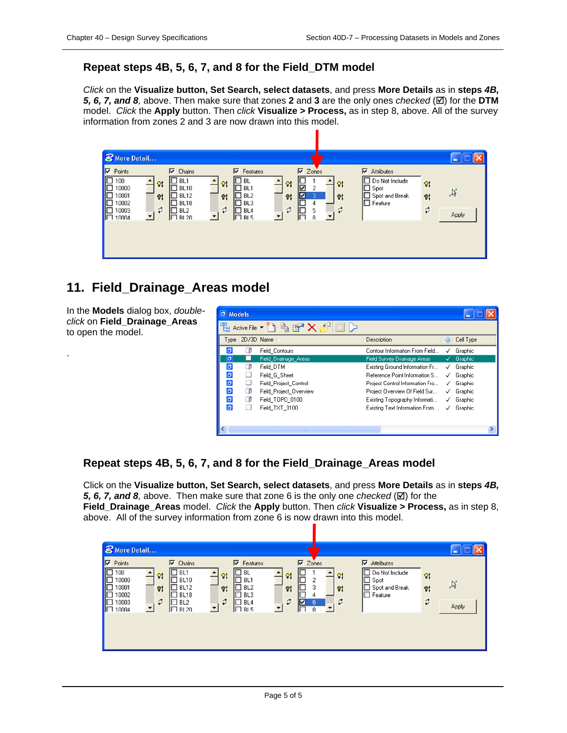#### **Repeat steps 4B, 5, 6, 7, and 8 for the Field\_DTM model**

*Click* on the **Visualize button, Set Search, select datasets**, and press **More Details** as in **steps** *4B,*  5, 6, 7, and 8, above. Then make sure that zones 2 and 3 are the only ones *checked* ( $\boxtimes$ ) for the DTM model. *Click* the **Apply** button. Then *click* **Visualize > Process,** as in step 8, above. All of the survey information from zones 2 and 3 are now drawn into this model.

| <b>8</b> More Detail                                                                                                                                                                                                           |                                                                                                               |                                                                                                                                                                                                                                |                                                                             |                                                |
|--------------------------------------------------------------------------------------------------------------------------------------------------------------------------------------------------------------------------------|---------------------------------------------------------------------------------------------------------------|--------------------------------------------------------------------------------------------------------------------------------------------------------------------------------------------------------------------------------|-----------------------------------------------------------------------------|------------------------------------------------|
| ⊽<br>Points<br>$\nabla$ Chains<br>100<br>BL1<br><b>FOR</b><br>Q <sub>t</sub><br>10000<br>$\Box$ BL10<br>10001<br>$\Box$ BL12<br>V,<br>10002<br>BL18<br>$\vec{v}$<br>10003<br>BL2<br><b>CONTRACTOR</b><br>$\Box$ RI 20<br>10004 | $\nabla$ Features<br><b>BL</b><br>Øţ<br>BL1<br>BL2<br>Q <sub>1</sub><br>BL3<br>$\vec{v}$<br>BL4<br><b>BL5</b> | $\nabla$ Zones<br>$\overline{\mathbf{S}}$<br>$\mathsf{Q}\mathsf{t}$<br>$\mathsf{Q}$<br>2<br>$\mathbf{\mathbb{F}}$<br>3<br>Q <sub>1</sub><br>Q <sub>t</sub><br>4<br>$\vec{v}$<br>F<br>$\vec{\mathfrak{c}}$<br>5<br>F.<br>8<br>▼ | ⊽<br>Attributes<br>Do Not Include<br>Spot<br>Spot and Break<br>П<br>Feature | Q <sub>t</sub><br>$\aleph$<br>Øţ<br>⇄<br>Apply |

#### **11. Field\_Drainage\_Areas model**

In the **Models** dialog box, *doubleclick* on **Field\_Drainage\_Areas** to open the model.

.

| <b>D</b> Models |   |                         |                                      |   |           |
|-----------------|---|-------------------------|--------------------------------------|---|-----------|
|                 |   | Active File ~ 2 白 G X 6 |                                      |   |           |
|                 |   | Type   2D/3D Name /     | Description                          |   | Cell Type |
| σ               |   | Field Contours          | Contour Information From Field       |   | Graphic   |
| $\overline{a}$  |   | Field Drainage Areas    | Field Survey Drainage Areas          | √ | Graphic   |
| σ               |   | Field DTM               | Existing Ground Information Fr       | √ | Graphic   |
| o               |   | Field G Sheet           | <b>Beference Point Information S</b> | √ | Graphic   |
| O               |   | Field Project Control   | Project Control Information Fro      | √ | Graphic   |
| O               | ⋂ | Field Project Overview  | Project Overview Of Field Sur        | ✓ | Graphic   |
| O               | ⋂ | Field TOPO 0100         | Existing Topography Informati        | ✓ | Graphic   |
| ø               |   | Field TXT 0100          | Existing Text Information From       | √ | Graphic   |
|                 |   |                         |                                      |   |           |
|                 |   | <b>IIII</b>             |                                      |   |           |

#### **Repeat steps 4B, 5, 6, 7, and 8 for the Field\_Drainage\_Areas model**

Click on the **Visualize button, Set Search, select datasets**, and press **More Details** as in **steps** *4B,*  5, 6, 7, and 8, above. Then make sure that zone 6 is the only one *checked* ( $\boxtimes$ ) for the **Field\_Drainage\_Areas** model. *Click* the **Apply** button. Then *click* **Visualize > Process,** as in step 8, above. All of the survey information from zone 6 is now drawn into this model.

| <b>8</b> More Detail                                                                                                                                                                                                |                                                                                                                                        |                                                                                                                                                                                   |                                                                                   |                                                                                        |
|---------------------------------------------------------------------------------------------------------------------------------------------------------------------------------------------------------------------|----------------------------------------------------------------------------------------------------------------------------------------|-----------------------------------------------------------------------------------------------------------------------------------------------------------------------------------|-----------------------------------------------------------------------------------|----------------------------------------------------------------------------------------|
| <b>V</b> Points<br>$\nabla$ Chains<br><b>BELEER</b><br>100<br>BL1<br>Q <sub>t</sub><br>10000<br><b>BL10</b><br>10001<br>BL12<br>$\mathbf{Q}$<br>10002<br>BL18<br>⇄<br>10003<br>BL <sub>2</sub><br>I⊡ RI 20<br>10004 | $\nabla$ Features<br>BL<br>Ľ<br>$\mathsf{Q}$ t<br>F<br>BL1<br>BL <sub>2</sub><br>$\mathbf{Q}$<br>BL3<br>$\vec{v}$<br>BL4<br>$\Box$ BL5 | $\nabla$ Zones<br>$\mathsf{Q}$<br>$\mathsf{Q}\sharp$<br>p.<br>2<br>3<br>Q <sub>t</sub><br>Q <sub>1</sub><br>⇄<br>$\vec{\mathfrak{c}}$<br> ☑<br>6<br>$\overline{\phantom{a}}$<br>8 | $\nabla$ Attributes<br>Do Not Include<br>Spot<br>Spot and Break<br>$\Box$ Feature | $\mathsf{Q}$<br>$\aleph$<br>$\mathsf{Q}^{\mathsf{t}}$<br>$\vec{\mathfrak{c}}$<br>Apply |